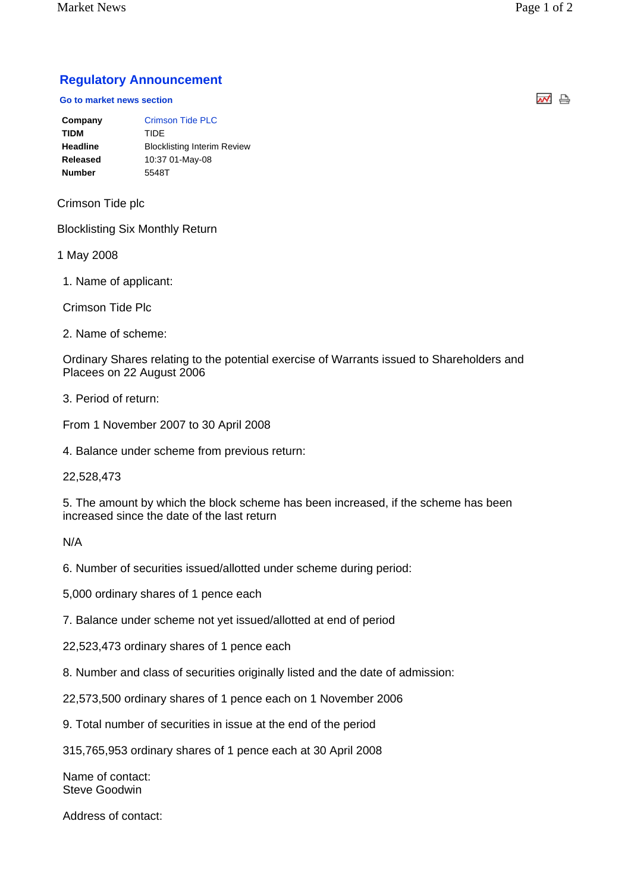Market News Page 1 of 2

## **Regulatory Announcement**

## **Go to market news section**

| Company       | <b>Crimson Tide PLC</b>            |
|---------------|------------------------------------|
| <b>TIDM</b>   | TIDE                               |
| Headline      | <b>Blocklisting Interim Review</b> |
| Released      | 10:37 01-May-08                    |
| <b>Number</b> | 5548T                              |
|               |                                    |

Crimson Tide plc

Blocklisting Six Monthly Return

1 May 2008

1. Name of applicant:

Crimson Tide Plc

2. Name of scheme:

Ordinary Shares relating to the potential exercise of Warrants issued to Shareholders and Placees on 22 August 2006

3. Period of return:

From 1 November 2007 to 30 April 2008

4. Balance under scheme from previous return:

22,528,473

5. The amount by which the block scheme has been increased, if the scheme has been increased since the date of the last return

N/A

6. Number of securities issued/allotted under scheme during period:

5,000 ordinary shares of 1 pence each

7. Balance under scheme not yet issued/allotted at end of period

22,523,473 ordinary shares of 1 pence each

8. Number and class of securities originally listed and the date of admission:

22,573,500 ordinary shares of 1 pence each on 1 November 2006

9. Total number of securities in issue at the end of the period

315,765,953 ordinary shares of 1 pence each at 30 April 2008

Name of contact: Steve Goodwin

Address of contact:

써 습